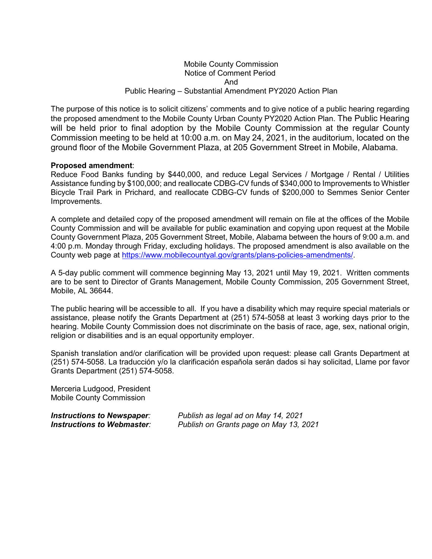## Mobile County Commission Notice of Comment Period And Public Hearing – Substantial Amendment PY2020 Action Plan

The purpose of this notice is to solicit citizens' comments and to give notice of a public hearing regarding the proposed amendment to the Mobile County Urban County PY2020 Action Plan. The Public Hearing will be held prior to final adoption by the Mobile County Commission at the regular County Commission meeting to be held at 10:00 a.m. on May 24, 2021, in the auditorium, located on the ground floor of the Mobile Government Plaza, at 205 Government Street in Mobile, Alabama.

## **Proposed amendment**:

Reduce Food Banks funding by \$440,000, and reduce Legal Services / Mortgage / Rental / Utilities Assistance funding by \$100,000; and reallocate CDBG-CV funds of \$340,000 to Improvements to Whistler Bicycle Trail Park in Prichard, and reallocate CDBG-CV funds of \$200,000 to Semmes Senior Center Improvements.

A complete and detailed copy of the proposed amendment will remain on file at the offices of the Mobile County Commission and will be available for public examination and copying upon request at the Mobile County Government Plaza, 205 Government Street, Mobile, Alabama between the hours of 9:00 a.m. and 4:00 p.m. Monday through Friday, excluding holidays. The proposed amendment is also available on the County web page at [https://www.mobilecountyal.gov/grants/plans-policies-amendments/.](https://www.mobilecountyal.gov/grants/plans-policies-amendments/)

A 5-day public comment will commence beginning May 13, 2021 until May 19, 2021. Written comments are to be sent to Director of Grants Management, Mobile County Commission, 205 Government Street, Mobile, AL 36644.

The public hearing will be accessible to all. If you have a disability which may require special materials or assistance, please notify the Grants Department at (251) 574-5058 at least 3 working days prior to the hearing. Mobile County Commission does not discriminate on the basis of race, age, sex, national origin, religion or disabilities and is an equal opportunity employer.

Spanish translation and/or clarification will be provided upon request: please call Grants Department at (251) 574-5058. La traducción y/o la clarificación española serán dados si hay solicitad, Llame por favor Grants Department (251) 574-5058.

Merceria Ludgood, President Mobile County Commission

*Instructions to Newspaper: Publish as legal ad on May 14, 2021 Publish on Grants page on May 13, 2021*